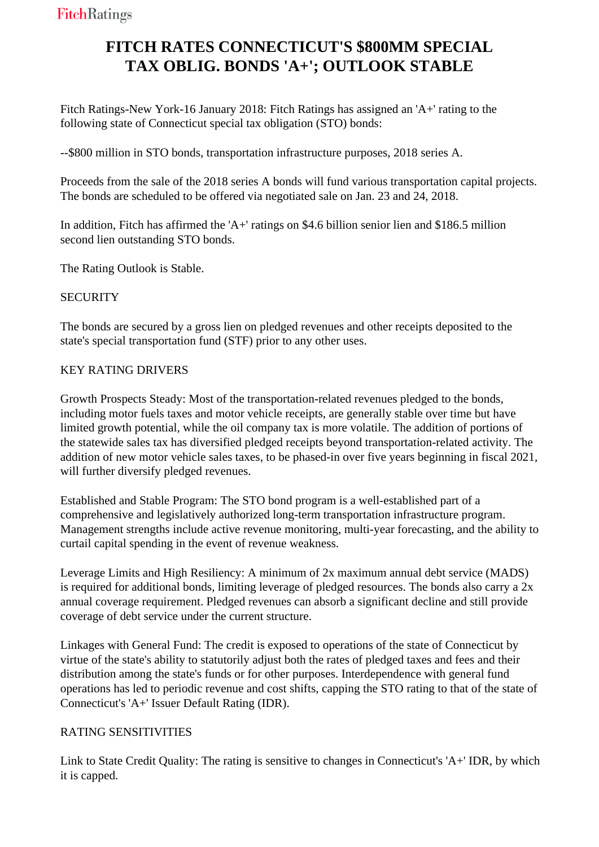# **FITCH RATES CONNECTICUT'S \$800MM SPECIAL TAX OBLIG. BONDS 'A+'; OUTLOOK STABLE**

 Fitch Ratings-New York-16 January 2018: Fitch Ratings has assigned an 'A+' rating to the following state of Connecticut special tax obligation (STO) bonds:

--\$800 million in STO bonds, transportation infrastructure purposes, 2018 series A.

 Proceeds from the sale of the 2018 series A bonds will fund various transportation capital projects. The bonds are scheduled to be offered via negotiated sale on Jan. 23 and 24, 2018.

 In addition, Fitch has affirmed the 'A+' ratings on \$4.6 billion senior lien and \$186.5 million second lien outstanding STO bonds.

The Rating Outlook is Stable.

### **SECURITY**

 The bonds are secured by a gross lien on pledged revenues and other receipts deposited to the state's special transportation fund (STF) prior to any other uses.

### KEY RATING DRIVERS

 Growth Prospects Steady: Most of the transportation-related revenues pledged to the bonds, including motor fuels taxes and motor vehicle receipts, are generally stable over time but have limited growth potential, while the oil company tax is more volatile. The addition of portions of the statewide sales tax has diversified pledged receipts beyond transportation-related activity. The addition of new motor vehicle sales taxes, to be phased-in over five years beginning in fiscal 2021, will further diversify pledged revenues.

 Established and Stable Program: The STO bond program is a well-established part of a comprehensive and legislatively authorized long-term transportation infrastructure program. Management strengths include active revenue monitoring, multi-year forecasting, and the ability to curtail capital spending in the event of revenue weakness.

 Leverage Limits and High Resiliency: A minimum of 2x maximum annual debt service (MADS) is required for additional bonds, limiting leverage of pledged resources. The bonds also carry a 2x annual coverage requirement. Pledged revenues can absorb a significant decline and still provide coverage of debt service under the current structure.

 Linkages with General Fund: The credit is exposed to operations of the state of Connecticut by virtue of the state's ability to statutorily adjust both the rates of pledged taxes and fees and their distribution among the state's funds or for other purposes. Interdependence with general fund operations has led to periodic revenue and cost shifts, capping the STO rating to that of the state of Connecticut's 'A+' Issuer Default Rating (IDR).

## RATING SENSITIVITIES

 Link to State Credit Quality: The rating is sensitive to changes in Connecticut's 'A+' IDR, by which it is capped.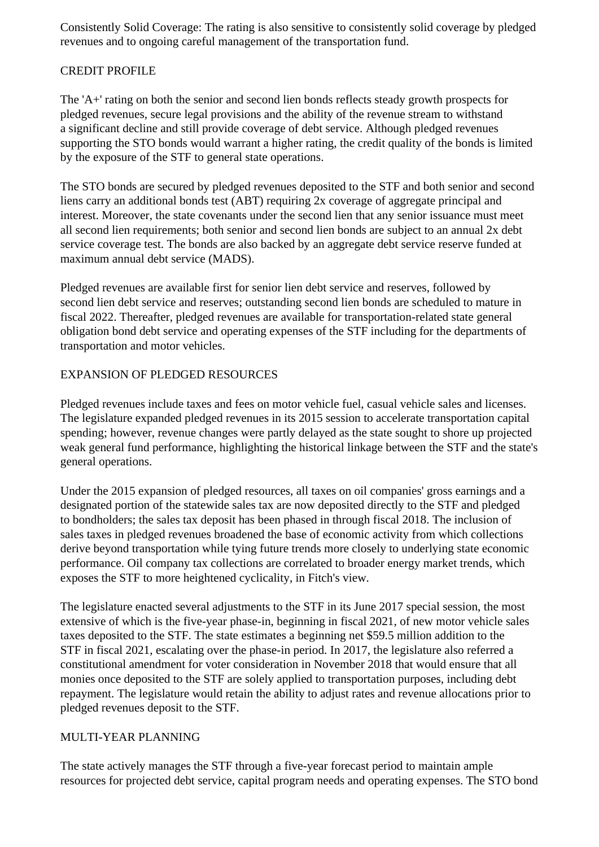Consistently Solid Coverage: The rating is also sensitive to consistently solid coverage by pledged revenues and to ongoing careful management of the transportation fund.

### CREDIT PROFILE

 The 'A+' rating on both the senior and second lien bonds reflects steady growth prospects for pledged revenues, secure legal provisions and the ability of the revenue stream to withstand a significant decline and still provide coverage of debt service. Although pledged revenues supporting the STO bonds would warrant a higher rating, the credit quality of the bonds is limited by the exposure of the STF to general state operations.

 The STO bonds are secured by pledged revenues deposited to the STF and both senior and second liens carry an additional bonds test (ABT) requiring 2x coverage of aggregate principal and interest. Moreover, the state covenants under the second lien that any senior issuance must meet all second lien requirements; both senior and second lien bonds are subject to an annual 2x debt service coverage test. The bonds are also backed by an aggregate debt service reserve funded at maximum annual debt service (MADS).

 Pledged revenues are available first for senior lien debt service and reserves, followed by second lien debt service and reserves; outstanding second lien bonds are scheduled to mature in fiscal 2022. Thereafter, pledged revenues are available for transportation-related state general obligation bond debt service and operating expenses of the STF including for the departments of transportation and motor vehicles.

#### EXPANSION OF PLEDGED RESOURCES

 Pledged revenues include taxes and fees on motor vehicle fuel, casual vehicle sales and licenses. The legislature expanded pledged revenues in its 2015 session to accelerate transportation capital spending; however, revenue changes were partly delayed as the state sought to shore up projected weak general fund performance, highlighting the historical linkage between the STF and the state's general operations.

 Under the 2015 expansion of pledged resources, all taxes on oil companies' gross earnings and a designated portion of the statewide sales tax are now deposited directly to the STF and pledged to bondholders; the sales tax deposit has been phased in through fiscal 2018. The inclusion of sales taxes in pledged revenues broadened the base of economic activity from which collections derive beyond transportation while tying future trends more closely to underlying state economic performance. Oil company tax collections are correlated to broader energy market trends, which exposes the STF to more heightened cyclicality, in Fitch's view.

 The legislature enacted several adjustments to the STF in its June 2017 special session, the most extensive of which is the five-year phase-in, beginning in fiscal 2021, of new motor vehicle sales taxes deposited to the STF. The state estimates a beginning net \$59.5 million addition to the STF in fiscal 2021, escalating over the phase-in period. In 2017, the legislature also referred a constitutional amendment for voter consideration in November 2018 that would ensure that all monies once deposited to the STF are solely applied to transportation purposes, including debt repayment. The legislature would retain the ability to adjust rates and revenue allocations prior to pledged revenues deposit to the STF.

#### MULTI-YEAR PLANNING

 The state actively manages the STF through a five-year forecast period to maintain ample resources for projected debt service, capital program needs and operating expenses. The STO bond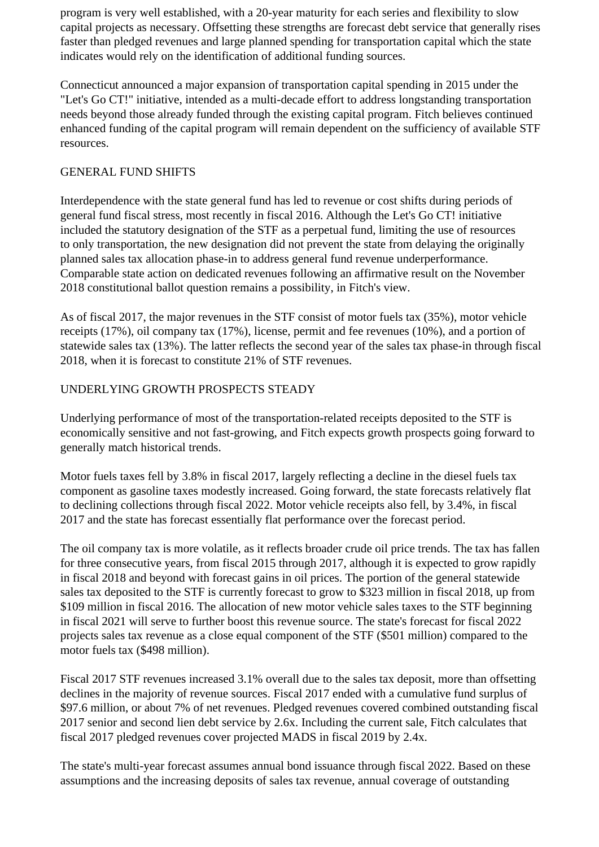program is very well established, with a 20-year maturity for each series and flexibility to slow capital projects as necessary. Offsetting these strengths are forecast debt service that generally rises faster than pledged revenues and large planned spending for transportation capital which the state indicates would rely on the identification of additional funding sources.

 Connecticut announced a major expansion of transportation capital spending in 2015 under the "Let's Go CT!" initiative, intended as a multi-decade effort to address longstanding transportation needs beyond those already funded through the existing capital program. Fitch believes continued enhanced funding of the capital program will remain dependent on the sufficiency of available STF resources.

#### GENERAL FUND SHIFTS

 Interdependence with the state general fund has led to revenue or cost shifts during periods of general fund fiscal stress, most recently in fiscal 2016. Although the Let's Go CT! initiative included the statutory designation of the STF as a perpetual fund, limiting the use of resources to only transportation, the new designation did not prevent the state from delaying the originally planned sales tax allocation phase-in to address general fund revenue underperformance. Comparable state action on dedicated revenues following an affirmative result on the November 2018 constitutional ballot question remains a possibility, in Fitch's view.

 As of fiscal 2017, the major revenues in the STF consist of motor fuels tax (35%), motor vehicle receipts (17%), oil company tax (17%), license, permit and fee revenues (10%), and a portion of statewide sales tax (13%). The latter reflects the second year of the sales tax phase-in through fiscal 2018, when it is forecast to constitute 21% of STF revenues.

#### UNDERLYING GROWTH PROSPECTS STEADY

 Underlying performance of most of the transportation-related receipts deposited to the STF is economically sensitive and not fast-growing, and Fitch expects growth prospects going forward to generally match historical trends.

 Motor fuels taxes fell by 3.8% in fiscal 2017, largely reflecting a decline in the diesel fuels tax component as gasoline taxes modestly increased. Going forward, the state forecasts relatively flat to declining collections through fiscal 2022. Motor vehicle receipts also fell, by 3.4%, in fiscal 2017 and the state has forecast essentially flat performance over the forecast period.

 The oil company tax is more volatile, as it reflects broader crude oil price trends. The tax has fallen for three consecutive years, from fiscal 2015 through 2017, although it is expected to grow rapidly in fiscal 2018 and beyond with forecast gains in oil prices. The portion of the general statewide sales tax deposited to the STF is currently forecast to grow to \$323 million in fiscal 2018, up from \$109 million in fiscal 2016. The allocation of new motor vehicle sales taxes to the STF beginning in fiscal 2021 will serve to further boost this revenue source. The state's forecast for fiscal 2022 projects sales tax revenue as a close equal component of the STF (\$501 million) compared to the motor fuels tax (\$498 million).

 Fiscal 2017 STF revenues increased 3.1% overall due to the sales tax deposit, more than offsetting declines in the majority of revenue sources. Fiscal 2017 ended with a cumulative fund surplus of \$97.6 million, or about 7% of net revenues. Pledged revenues covered combined outstanding fiscal 2017 senior and second lien debt service by 2.6x. Including the current sale, Fitch calculates that fiscal 2017 pledged revenues cover projected MADS in fiscal 2019 by 2.4x.

 The state's multi-year forecast assumes annual bond issuance through fiscal 2022. Based on these assumptions and the increasing deposits of sales tax revenue, annual coverage of outstanding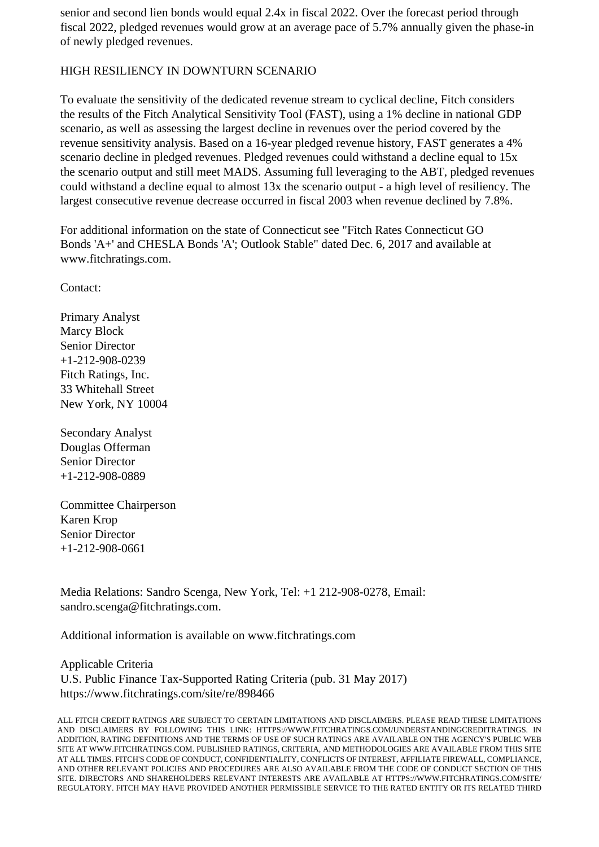senior and second lien bonds would equal 2.4x in fiscal 2022. Over the forecast period through fiscal 2022, pledged revenues would grow at an average pace of 5.7% annually given the phase-in of newly pledged revenues.

#### HIGH RESILIENCY IN DOWNTURN SCENARIO

 To evaluate the sensitivity of the dedicated revenue stream to cyclical decline, Fitch considers the results of the Fitch Analytical Sensitivity Tool (FAST), using a 1% decline in national GDP scenario, as well as assessing the largest decline in revenues over the period covered by the revenue sensitivity analysis. Based on a 16-year pledged revenue history, FAST generates a 4% scenario decline in pledged revenues. Pledged revenues could withstand a decline equal to 15x the scenario output and still meet MADS. Assuming full leveraging to the ABT, pledged revenues could withstand a decline equal to almost 13x the scenario output - a high level of resiliency. The largest consecutive revenue decrease occurred in fiscal 2003 when revenue declined by 7.8%.

 For additional information on the state of Connecticut see "Fitch Rates Connecticut GO Bonds 'A+' and CHESLA Bonds 'A'; Outlook Stable" dated Dec. 6, 2017 and available at www.fitchratings.com.

Contact:

 Primary Analyst Marcy Block Senior Director +1-212-908-0239 Fitch Ratings, Inc. 33 Whitehall Street New York, NY 10004

 Secondary Analyst Douglas Offerman Senior Director +1-212-908-0889

 Committee Chairperson Karen Krop Senior Director +1-212-908-0661

 Media Relations: Sandro Scenga, New York, Tel: +1 212-908-0278, Email: sandro.scenga@fitchratings.com.

Additional information is available on www.fitchratings.com

 Applicable Criteria U.S. Public Finance Tax-Supported Rating Criteria (pub. 31 May 2017) https://www.fitchratings.com/site/re/898466

ALL FITCH CREDIT RATINGS ARE SUBJECT TO CERTAIN LIMITATIONS AND DISCLAIMERS. PLEASE READ THESE LIMITATIONS AND DISCLAIMERS BY FOLLOWING THIS LINK: HTTPS://WWW.FITCHRATINGS.COM/UNDERSTANDINGCREDITRATINGS. IN ADDITION, RATING DEFINITIONS AND THE TERMS OF USE OF SUCH RATINGS ARE AVAILABLE ON THE AGENCY'S PUBLIC WEB SITE AT WWW.FITCHRATINGS.COM. PUBLISHED RATINGS, CRITERIA, AND METHODOLOGIES ARE AVAILABLE FROM THIS SITE AT ALL TIMES. FITCH'S CODE OF CONDUCT, CONFIDENTIALITY, CONFLICTS OF INTEREST, AFFILIATE FIREWALL, COMPLIANCE, AND OTHER RELEVANT POLICIES AND PROCEDURES ARE ALSO AVAILABLE FROM THE CODE OF CONDUCT SECTION OF THIS SITE. DIRECTORS AND SHAREHOLDERS RELEVANT INTERESTS ARE AVAILABLE AT HTTPS://WWW.FITCHRATINGS.COM/SITE/ REGULATORY. FITCH MAY HAVE PROVIDED ANOTHER PERMISSIBLE SERVICE TO THE RATED ENTITY OR ITS RELATED THIRD